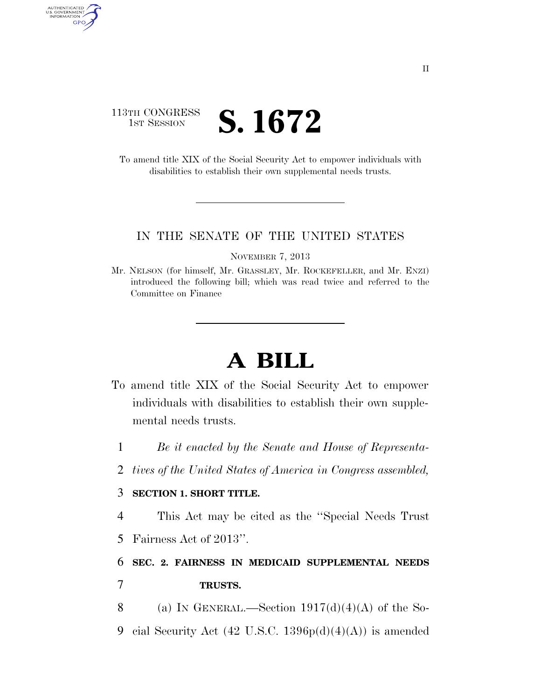### 113TH CONGRESS **1ST SESSION S. 1672**

AUTHENTICATED<br>U.S. GOVERNMENT<br>INFORMATION GPO

> To amend title XIX of the Social Security Act to empower individuals with disabilities to establish their own supplemental needs trusts.

#### IN THE SENATE OF THE UNITED STATES

NOVEMBER 7, 2013

Mr. NELSON (for himself, Mr. GRASSLEY, Mr. ROCKEFELLER, and Mr. ENZI) introduced the following bill; which was read twice and referred to the Committee on Finance

# **A BILL**

- To amend title XIX of the Social Security Act to empower individuals with disabilities to establish their own supplemental needs trusts.
	- 1 *Be it enacted by the Senate and House of Representa-*
	- 2 *tives of the United States of America in Congress assembled,*

### 3 **SECTION 1. SHORT TITLE.**

4 This Act may be cited as the ''Special Needs Trust

5 Fairness Act of 2013''.

## 6 **SEC. 2. FAIRNESS IN MEDICAID SUPPLEMENTAL NEEDS**  7 **TRUSTS.**

- 8 (a) IN GENERAL.—Section  $1917(d)(4)(A)$  of the So-
- 9 cial Security Act  $(42 \text{ U.S.C. } 1396p(d)(4)(A))$  is amended